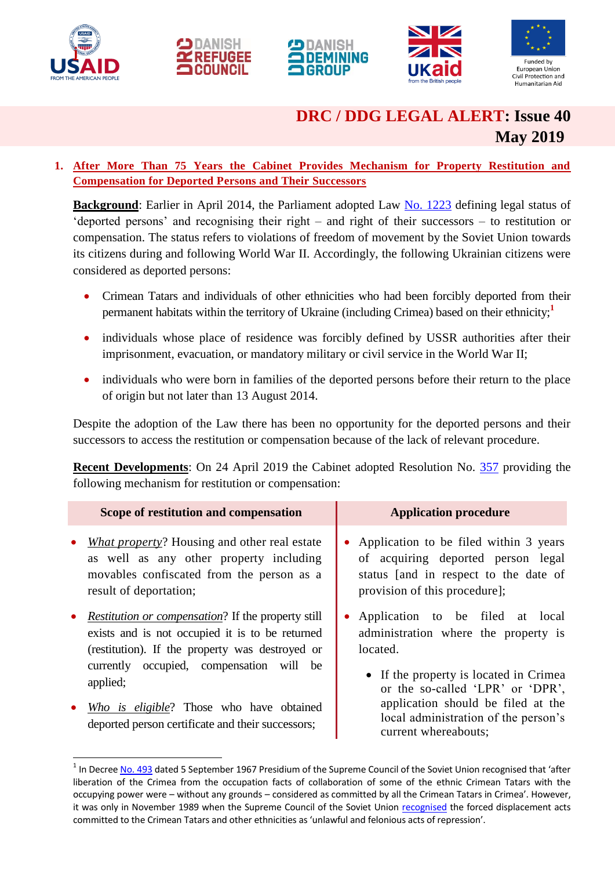

1









# **DRC / DDG LEGAL ALERT: Issue 40 May 2019**

# **1. After More Than 75 Years the Cabinet Provides Mechanism for Property Restitution and Compensation for Deported Persons and Their Successors**

**Background**: Earlier in April 2014, the Parliament adopted Law [No. 1223](https://zakon.rada.gov.ua/laws/show/1223-18) defining legal status of 'deported persons' and recognising their right – and right of their successors – to restitution or compensation. The status refers to violations of freedom of movement by the Soviet Union towards its citizens during and following World War II. Accordingly, the following Ukrainian citizens were considered as deported persons:

- Crimean Tatars and individuals of other ethnicities who had been forcibly deported from their permanent habitats within the territory of Ukraine (including Crimea) based on their ethnicity;**<sup>1</sup>**
- individuals whose place of residence was forcibly defined by USSR authorities after their imprisonment, evacuation, or mandatory military or civil service in the World War II;
- individuals who were born in families of the deported persons before their return to the place of origin but not later than 13 August 2014.

Despite the adoption of the Law there has been no opportunity for the deported persons and their successors to access the restitution or compensation because of the lack of relevant procedure.

**Recent Developments**: On 24 April 2019 the Cabinet adopted Resolution No. [357](https://zakon.rada.gov.ua/laws/show/357-2019-п) providing the following mechanism for restitution or compensation:

|           | Scope of restitution and compensation                                                                                                                                  | <b>Application procedure</b>                                                                                                                                                     |
|-----------|------------------------------------------------------------------------------------------------------------------------------------------------------------------------|----------------------------------------------------------------------------------------------------------------------------------------------------------------------------------|
| $\bullet$ | <i>What property</i> ? Housing and other real estate<br>as well as any other property including<br>movables confiscated from the person as a<br>result of deportation; | • Application to be filed within 3 years<br>of acquiring deported person legal<br>status [and in respect to the date of<br>provision of this procedure];                         |
| $\bullet$ | <i>Restitution or compensation</i> ? If the property still<br>exists and is not occupied it is to be returned<br>(restitution). If the property was destroyed or       | • Application to be filed at local<br>administration where the property is<br>located.                                                                                           |
|           | currently occupied, compensation will be<br>applied;<br>• Who is eligible? Those who have obtained<br>deported person certificate and their successors;                | • If the property is located in Crimea<br>or the so-called 'LPR' or 'DPR',<br>application should be filed at the<br>local administration of the person's<br>current whereabouts; |

<sup>&</sup>lt;sup>1</sup> In Decre[e No. 493](http://www.memorial.krsk.ru/DOKUMENT/USSR/670905.htm) dated 5 September 1967 Presidium of the Supreme Council of the Soviet Union recognised that 'after liberation of the Crimea from the occupation facts of collaboration of some of the ethnic Crimean Tatars with the occupying power were – without any grounds – considered as committed by all the Crimean Tatars in Crimea'. However, it was only in November 1989 when the Supreme Council of the Soviet Union [recognised](https://www.alexanderyakovlev.org/fond/issues-doc/67942) the forced displacement acts committed to the Crimean Tatars and other ethnicities as 'unlawful and felonious acts of repression'.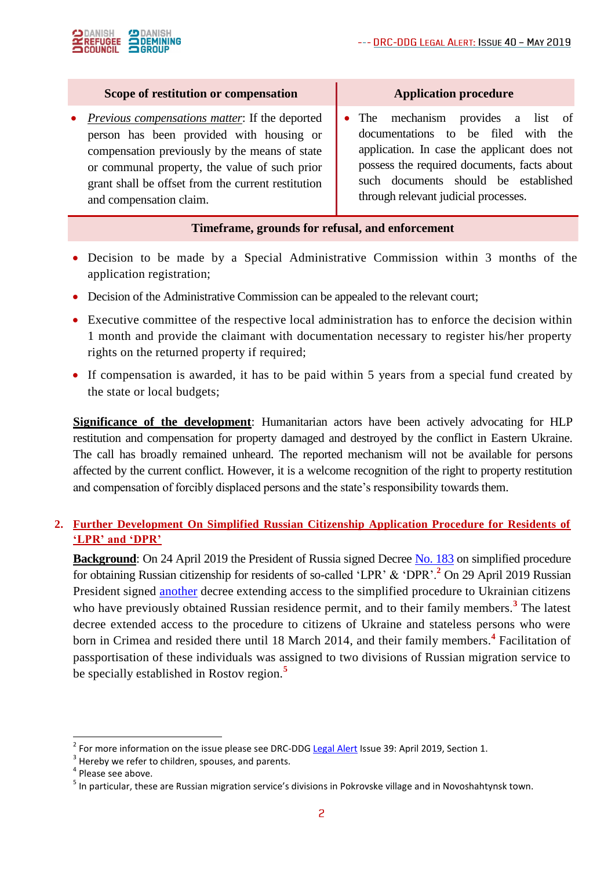

#### **Scope of restitution or compensation**

 *Previous compensations matter*: If the deported person has been provided with housing or compensation previously by the means of state or communal property, the value of such prior grant shall be offset from the current restitution and compensation claim.

 The mechanism provides a list of documentations to be filed with the application. In case the applicant does not possess the required documents, facts about such documents should be established through relevant judicial processes.

#### **Timeframe, grounds for refusal, and enforcement**

- Decision to be made by a Special Administrative Commission within 3 months of the application registration;
- Decision of the Administrative Commission can be appealed to the relevant court;
- Executive committee of the respective local administration has to enforce the decision within 1 month and provide the claimant with documentation necessary to register his/her property rights on the returned property if required;
- If compensation is awarded, it has to be paid within 5 years from a special fund created by the state or local budgets;

**Significance of the development**: Humanitarian actors have been actively advocating for HLP restitution and compensation for property damaged and destroyed by the conflict in Eastern Ukraine. The call has broadly remained unheard. The reported mechanism will not be available for persons affected by the current conflict. However, it is a welcome recognition of the right to property restitution and compensation of forcibly displaced persons and the state's responsibility towards them.

# **2. Further Development On Simplified Russian Citizenship Application Procedure for Residents of 'LPR' and 'DPR'**

**Background**: On 24 April 2019 the President of Russia signed Decree [No. 183](http://kremlin.ru/acts/news/60358) on simplified procedure for obtaining Russian citizenship for residents of so-called 'LPR' & 'DPR'.**<sup>2</sup>** On 29 April 2019 Russian President signed [another](http://kremlin.ru/events/president/news/60429) decree extending access to the simplified procedure to Ukrainian citizens who have previously obtained Russian residence permit, and to their family members.<sup>3</sup> The latest decree extended access to the procedure to citizens of Ukraine and stateless persons who were born in Crimea and resided there until 18 March 2014, and their family members.**<sup>4</sup>** Facilitation of passportisation of these individuals was assigned to two divisions of Russian migration service to be specially established in Rostov region.**<sup>5</sup>**

1

<sup>&</sup>lt;sup>2</sup> For more information on the issue please see DRC-DDG [Legal Alert](https://www.humanitarianresponse.info/en/operations/ukraine/document/drc-legal-alert-april-2019-drc-правовий-бюлетень-квітень-2019-drc-0) Issue 39: April 2019, Section 1.

 $3$  Hereby we refer to children, spouses, and parents.

<sup>&</sup>lt;sup>4</sup> Please see above.

<sup>&</sup>lt;sup>5</sup> In particular, these are Russian migration service's divisions in Pokrovske village and in Novoshahtynsk town.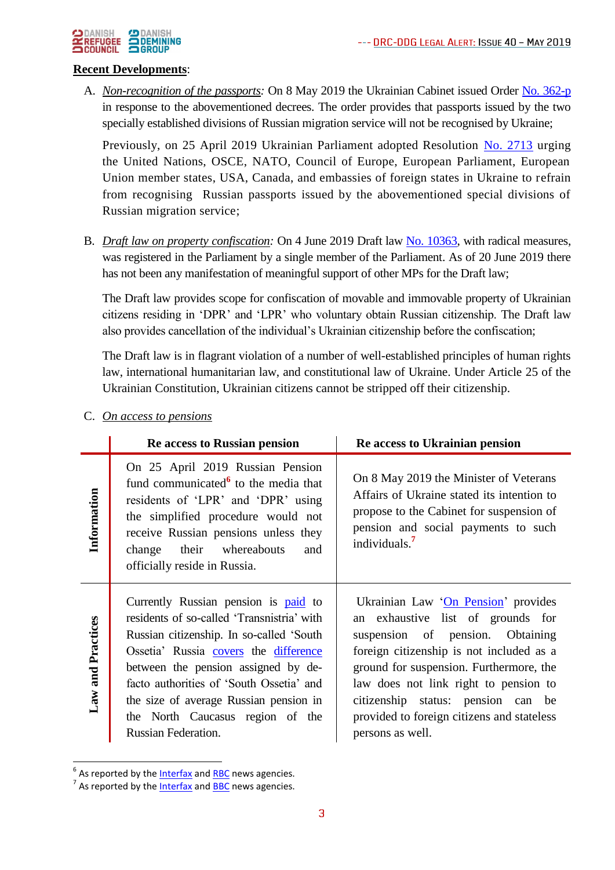

#### **Recent Developments**:

A. *Non-recognition of the passports:* On 8 May 2019 the Ukrainian Cabinet issued Order [No. 362-p](https://www.kmu.gov.ua/ua/npas/pro-neviznannya-ukrayinoyu-pasportnih-dokumentiv-vidanih-upovnovazhenimi-organami-inozemnoyi-derzhavi) in response to the abovementioned decrees. The order provides that passports issued by the two specially established divisions of Russian migration service will not be recognised by Ukraine;

Previously, on 25 April 2019 Ukrainian Parliament adopted Resolution [No. 2713](https://zakon.rada.gov.ua/laws/show/2713-viii) urging the United Nations, OSCE, NATO, Council of Europe, European Parliament, European Union member states, USA, Canada, and embassies of foreign states in Ukraine to refrain from recognising Russian passports issued by the abovementioned special divisions of Russian migration service;

B. *Draft law on property confiscation:* On 4 June 2019 Draft law [No. 10363,](http://w1.c1.rada.gov.ua/pls/zweb2/webproc4_1?pf3511=66042) with radical measures, was registered in the Parliament by a single member of the Parliament. As of 20 June 2019 there has not been any manifestation of meaningful support of other MPs for the Draft law;

The Draft law provides scope for confiscation of movable and immovable property of Ukrainian citizens residing in 'DPR' and 'LPR' who voluntary obtain Russian citizenship. The Draft law also provides cancellation of the individual's Ukrainian citizenship before the confiscation;

The Draft law is in flagrant violation of a number of well-established principles of human rights law, international humanitarian law, and constitutional law of Ukraine. Under Article 25 of the Ukrainian Constitution, Ukrainian citizens cannot be stripped off their citizenship.

|                   | Re access to Russian pension                                                                                                                                                                                                                                                                                                                                    | Re access to Ukrainian pension                                                                                                                                                                                                                                                                                                                       |
|-------------------|-----------------------------------------------------------------------------------------------------------------------------------------------------------------------------------------------------------------------------------------------------------------------------------------------------------------------------------------------------------------|------------------------------------------------------------------------------------------------------------------------------------------------------------------------------------------------------------------------------------------------------------------------------------------------------------------------------------------------------|
| Information       | On 25 April 2019 Russian Pension<br>fund communicated $6$ to the media that<br>residents of 'LPR' and 'DPR' using<br>the simplified procedure would not<br>receive Russian pensions unless they<br>their whereabouts<br>change<br>and<br>officially reside in Russia.                                                                                           | On 8 May 2019 the Minister of Veterans<br>Affairs of Ukraine stated its intention to<br>propose to the Cabinet for suspension of<br>pension and social payments to such<br>individuals. <sup>7</sup>                                                                                                                                                 |
| Law and Practices | Currently Russian pension is paid to<br>residents of so-called 'Transnistria' with<br>Russian citizenship. In so-called 'South<br>Ossetia' Russia covers the difference<br>between the pension assigned by de-<br>facto authorities of 'South Ossetia' and<br>the size of average Russian pension in<br>the North Caucasus region of the<br>Russian Federation. | Ukrainian Law 'On Pension' provides<br>an exhaustive list of grounds for<br>suspension of pension. Obtaining<br>foreign citizenship is not included as a<br>ground for suspension. Furthermore, the<br>law does not link right to pension to<br>citizenship status: pension can be<br>provided to foreign citizens and stateless<br>persons as well. |

### C. *On access to pensions*

1

<sup>&</sup>lt;sup>6</sup> As reported by the <u>Interfax</u> and **RBC** news agencies.

<sup>&</sup>lt;sup>7</sup> As reported by the <u>Interfax</u> and **BBC** news agencies.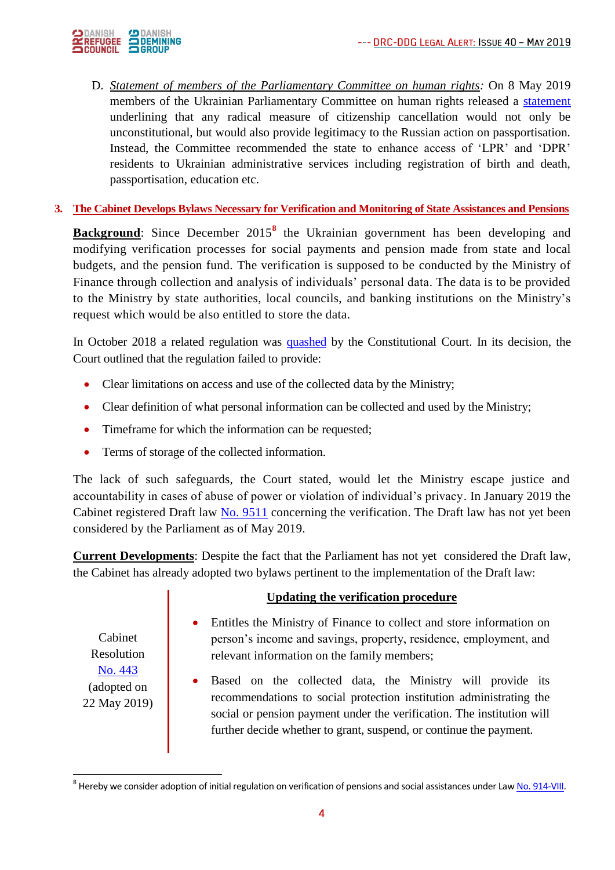

D. *Statement of members of the Parliamentary Committee on human rights:* On 8 May 2019 members of the Ukrainian Parliamentary Committee on human rights released a [statement](http://kompravlud.rada.gov.ua/uploads/documents/33336.pdf) underlining that any radical measure of citizenship cancellation would not only be unconstitutional, but would also provide legitimacy to the Russian action on passportisation. Instead, the Committee recommended the state to enhance access of 'LPR' and 'DPR' residents to Ukrainian administrative services including registration of birth and death, passportisation, education etc.

# **3. The Cabinet Develops Bylaws Necessary for Verification and Monitoring of State Assistances and Pensions**

**Background**: Since December 2015**<sup>8</sup>** the Ukrainian government has been developing and modifying verification processes for social payments and pension made from state and local budgets, and the pension fund. The verification is supposed to be conducted by the Ministry of Finance through collection and analysis of individuals' personal data. The data is to be provided to the Ministry by state authorities, local councils, and banking institutions on the Ministry's request which would be also entitled to store the data.

In October 2018 a related regulation was [quashed](https://zakon.rada.gov.ua/laws/show/v007p710-18/print) by the Constitutional Court. In its decision, the Court outlined that the regulation failed to provide:

- Clear limitations on access and use of the collected data by the Ministry;
- Clear definition of what personal information can be collected and used by the Ministry;
- Timeframe for which the information can be requested;
- Terms of storage of the collected information.

The lack of such safeguards, the Court stated, would let the Ministry escape justice and accountability in cases of abuse of power or violation of individual's privacy. In January 2019 the Cabinet registered Draft law [No. 9511](http://w1.c1.rada.gov.ua/pls/zweb2/webproc4_1?pf3511=65394) concerning the verification. The Draft law has not yet been considered by the Parliament as of May 2019.

**Current Developments**: Despite the fact that the Parliament has not yet considered the Draft law, the Cabinet has already adopted two bylaws pertinent to the implementation of the Draft law:

#### **Updating the verification procedure**

- Entitles the Ministry of Finance to collect and store information on person's income and savings, property, residence, employment, and relevant information on the family members;
- Based on the collected data, the Ministry will provide its recommendations to social protection institution administrating the social or pension payment under the verification. The institution will further decide whether to grant, suspend, or continue the payment.

Cabinet Resolution [No. 443](https://www.kmu.gov.ua/ua/npas/pro-vnesennya-zmin-do-postanovi-kabinetu-ministriv-ukrayini-vid-18-lyutogo-2016-r-136) (adopted on 22 May 2019)

-

 $^8$  Hereby we consider adoption of initial regulation on verification of pensions and social assistances under Law <u>No. 914-VIII</u>.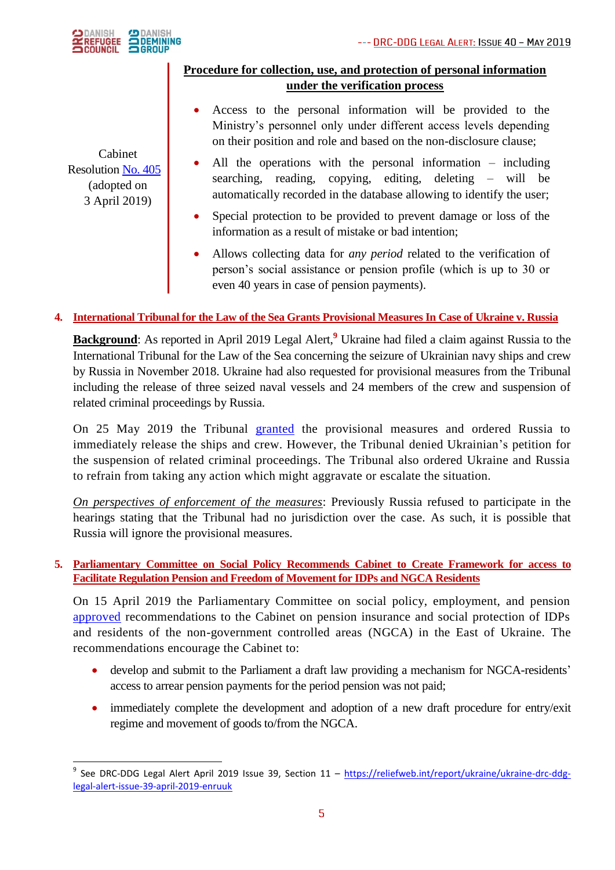

# Cabinet Resolution [No. 405](https://zakon.rada.gov.ua/laws/show/405-2019-п?fbclid=IwAR0phsr5dU8FnAn0LUDqJeJbW0ExyOrKE4PKijyHzU6v2J7tC4AuR4LrH-Y) (adopted on 3 April 2019)

- **Procedure for collection, use, and protection of personal information under the verification process**
	- Access to the personal information will be provided to the Ministry's personnel only under different access levels depending on their position and role and based on the non-disclosure clause;
	- All the operations with the personal information including searching, reading, copying, editing, deleting – will be automatically recorded in the database allowing to identify the user;
	- Special protection to be provided to prevent damage or loss of the information as a result of mistake or bad intention;
	- Allows collecting data for *any period* related to the verification of person's social assistance or pension profile (which is up to 30 or even 40 years in case of pension payments).

# **4. International Tribunal for the Law of the Sea Grants Provisional Measures In Case of Ukraine v. Russia**

**Background**: As reported in April 2019 Legal Alert,<sup>9</sup> Ukraine had filed a claim against Russia to the International Tribunal for the Law of the Sea concerning the seizure of Ukrainian navy ships and crew by Russia in November 2018. Ukraine had also requested for provisional measures from the Tribunal including the release of three seized naval vessels and 24 members of the crew and suspension of related criminal proceedings by Russia.

On 25 May 2019 the Tribunal [granted](https://www.itlos.org/fileadmin/itlos/documents/cases/case_no_26/C26_Order_25.05.pdf) the provisional measures and ordered Russia to immediately release the ships and crew. However, the Tribunal denied Ukrainian's petition for the suspension of related criminal proceedings. The Tribunal also ordered Ukraine and Russia to refrain from taking any action which might aggravate or escalate the situation.

*On perspectives of enforcement of the measures*: Previously Russia refused to participate in the hearings stating that the Tribunal had no jurisdiction over the case. As such, it is possible that Russia will ignore the provisional measures.

### **5. Parliamentary Committee on Social Policy Recommends Cabinet to Create Framework for access to Facilitate Regulation Pension and Freedom of Movement for IDPs and NGCA Residents**

On 15 April 2019 the Parliamentary Committee on social policy, employment, and pension [approved](https://iportal.rada.gov.ua/news/Novyny/170338.html) recommendations to the Cabinet on pension insurance and social protection of IDPs and residents of the non-government controlled areas (NGCA) in the East of Ukraine. The recommendations encourage the Cabinet to:

- develop and submit to the Parliament a draft law providing a mechanism for NGCA-residents' access to arrear pension payments for the period pension was not paid;
- immediately complete the development and adoption of a new draft procedure for entry/exit regime and movement of goods to/from the NGCA.

 9 See DRC-DDG Legal Alert April 2019 Issue 39, Section 11 – [https://reliefweb.int/report/ukraine/ukraine-drc-ddg](https://reliefweb.int/report/ukraine/ukraine-drc-ddg-legal-alert-issue-39-april-2019-enruuk)[legal-alert-issue-39-april-2019-enruuk](https://reliefweb.int/report/ukraine/ukraine-drc-ddg-legal-alert-issue-39-april-2019-enruuk)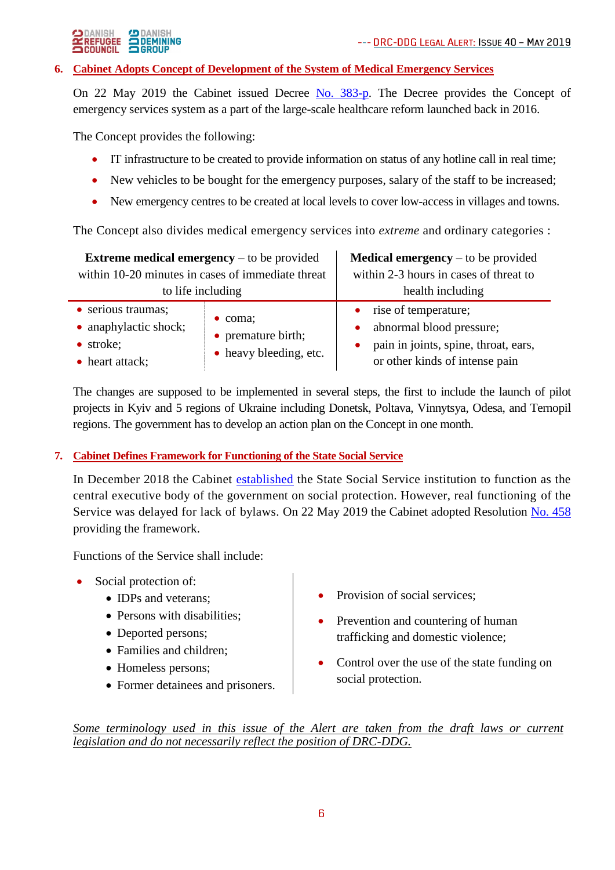

#### **6. Cabinet Adopts Concept of Development of the System of Medical Emergency Services**

On 22 May 2019 the Cabinet issued Decree [No. 383-p.](http://search.ligazakon.ua/l_doc2.nsf/link1/KR190383.html) The Decree provides the Concept of emergency services system as a part of the large-scale healthcare reform launched back in 2016.

The Concept provides the following:

- IT infrastructure to be created to provide information on status of any hotline call in real time;
- New vehicles to be bought for the emergency purposes, salary of the staff to be increased;
- New emergency centres to be created at local levels to cover low-access in villages and towns.

The Concept also divides medical emergency services into *extreme* and ordinary categories :

| <b>Extreme medical emergency</b> $-$ to be provided                         |                                                                 | <b>Medical emergency</b> – to be provided                                                                                    |
|-----------------------------------------------------------------------------|-----------------------------------------------------------------|------------------------------------------------------------------------------------------------------------------------------|
| within 10-20 minutes in cases of immediate threat<br>to life including      |                                                                 | within 2-3 hours in cases of threat to<br>health including                                                                   |
| • serious traumas;<br>• anaphylactic shock;<br>• stroke;<br>• heart attack; | $\bullet$ coma;<br>• premature birth;<br>• heavy bleeding, etc. | • rise of temperature;<br>abnormal blood pressure;<br>pain in joints, spine, throat, ears,<br>or other kinds of intense pain |

The changes are supposed to be implemented in several steps, the first to include the launch of pilot projects in Kyiv and 5 regions of Ukraine including Donetsk, Poltava, Vinnytsya, Odesa, and Ternopil regions. The government has to develop an action plan on the Concept in one month.

### **7. Cabinet Defines Framework for Functioning of the State Social Service**

In December 2018 the Cabinet [established](https://www.kmu.gov.ua/ua/npas/pro-utvorennya-derzhavnoyi-socialnoyi-sluzhbi-ukrayini) the State Social Service institution to function as the central executive body of the government on social protection. However, real functioning of the Service was delayed for lack of bylaws. On 22 May 2019 the Cabinet adopted Resolution [No. 458](https://zakon.rada.gov.ua/laws/show/458-2019-п/print) providing the framework.

Functions of the Service shall include:

- Social protection of:
	- IDPs and veterans;
	- Persons with disabilities;
	- Deported persons;
	- Families and children:
	- Homeless persons;
	- Former detainees and prisoners.
- Provision of social services;
- Prevention and countering of human trafficking and domestic violence;
- Control over the use of the state funding on social protection.

*Some terminology used in this issue of the Alert are taken from the draft laws or current legislation and do not necessarily reflect the position of DRC-DDG.*